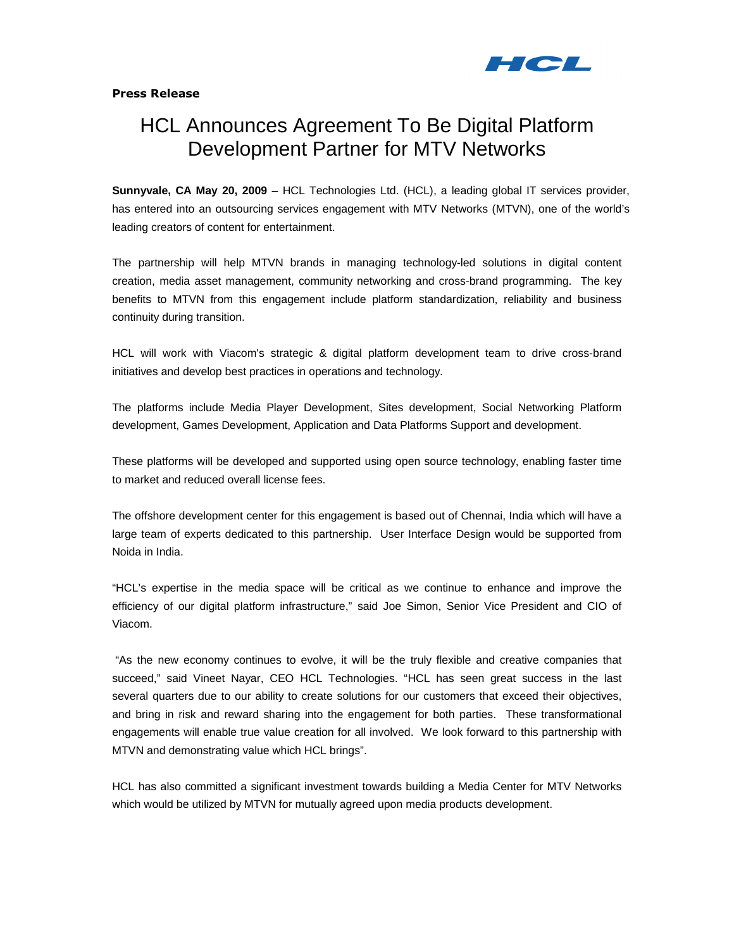

## Press Release

# HCL Announces Agreement To Be Digital Platform Development Partner for MTV Networks

**Sunnyvale, CA May 20, 2009** – HCL Technologies Ltd. (HCL), a leading global IT services provider, has entered into an outsourcing services engagement with MTV Networks (MTVN), one of the world's leading creators of content for entertainment.

The partnership will help MTVN brands in managing technology-led solutions in digital content creation, media asset management, community networking and cross-brand programming. The key benefits to MTVN from this engagement include platform standardization, reliability and business continuity during transition.

HCL will work with Viacom's strategic & digital platform development team to drive cross-brand initiatives and develop best practices in operations and technology.

The platforms include Media Player Development, Sites development, Social Networking Platform development, Games Development, Application and Data Platforms Support and development.

These platforms will be developed and supported using open source technology, enabling faster time to market and reduced overall license fees.

The offshore development center for this engagement is based out of Chennai, India which will have a large team of experts dedicated to this partnership. User Interface Design would be supported from Noida in India.

"HCL's expertise in the media space will be critical as we continue to enhance and improve the efficiency of our digital platform infrastructure," said Joe Simon, Senior Vice President and CIO of Viacom.

 "As the new economy continues to evolve, it will be the truly flexible and creative companies that succeed," said Vineet Nayar, CEO HCL Technologies. "HCL has seen great success in the last several quarters due to our ability to create solutions for our customers that exceed their objectives, and bring in risk and reward sharing into the engagement for both parties. These transformational engagements will enable true value creation for all involved. We look forward to this partnership with MTVN and demonstrating value which HCL brings".

HCL has also committed a significant investment towards building a Media Center for MTV Networks which would be utilized by MTVN for mutually agreed upon media products development.